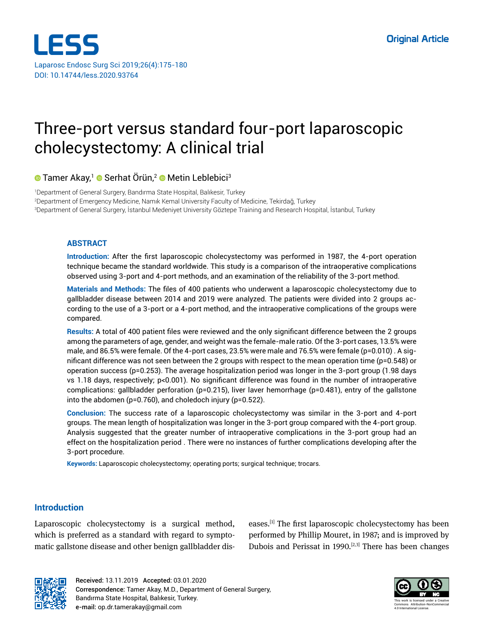

# Three-port versus standard four-port laparoscopic cholecystectomy: A clinical trial

**Tamer Akay,<sup>1</sup> © Serhat Örün,<sup>2</sup> © Metin Leblebici<sup>3</sup>** 

1 Department of General Surgery, Bandırma State Hospital, Balıkesir, Turkey 2 Department of Emergency Medicine, Namık Kemal University Faculty of Medicine, Tekirdağ, Turkey 3 Department of General Surgery, İstanbul Medeniyet University Göztepe Training and Research Hospital, İstanbul, Turkey

## **ABSTRACT**

**Introduction:** After the first laparoscopic cholecystectomy was performed in 1987, the 4-port operation technique became the standard worldwide. This study is a comparison of the intraoperative complications observed using 3-port and 4-port methods, and an examination of the reliability of the 3-port method.

**Materials and Methods:** The files of 400 patients who underwent a laparoscopic cholecystectomy due to gallbladder disease between 2014 and 2019 were analyzed. The patients were divided into 2 groups according to the use of a 3-port or a 4-port method, and the intraoperative complications of the groups were compared.

**Results:** A total of 400 patient files were reviewed and the only significant difference between the 2 groups among the parameters of age, gender, and weight was the female-male ratio. Of the 3-port cases, 13.5% were male, and 86.5% were female. Of the 4-port cases, 23.5% were male and 76.5% were female (p=0.010) . A significant difference was not seen between the 2 groups with respect to the mean operation time (p=0.548) or operation success (p=0.253). The average hospitalization period was longer in the 3-port group (1.98 days vs 1.18 days, respectively; p<0.001). No significant difference was found in the number of intraoperative complications: gallbladder perforation (p=0.215), liver laver hemorrhage (p=0.481), entry of the gallstone into the abdomen (p=0.760), and choledoch injury (p=0.522).

**Conclusion:** The success rate of a laparoscopic cholecystectomy was similar in the 3-port and 4-port groups. The mean length of hospitalization was longer in the 3-port group compared with the 4-port group. Analysis suggested that the greater number of intraoperative complications in the 3-port group had an effect on the hospitalization period . There were no instances of further complications developing after the 3-port procedure.

**Keywords:** Laparoscopic cholecystectomy; operating ports; surgical technique; trocars.

# **Introduction**

Laparoscopic cholecystectomy is a surgical method, which is preferred as a standard with regard to symptomatic gallstone disease and other benign gallbladder diseases.<sup>[1]</sup> The first laparoscopic cholecystectomy has been performed by Phillip Mouret, in 1987; and is improved by Dubois and Perissat in 1990.<sup>[2,3]</sup> There has been changes



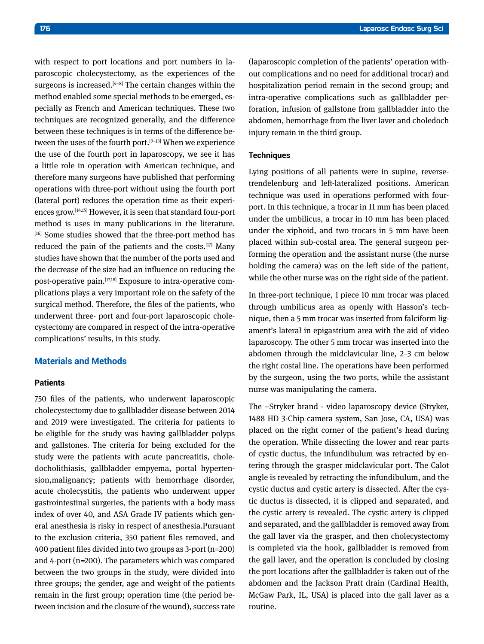with respect to port locations and port numbers in laparoscopic cholecystectomy, as the experiences of the surgeons is increased.<sup>[4-8]</sup> The certain changes within the method enabled some special methods to be emerged, especially as French and American techniques. These two techniques are recognized generally, and the difference between these techniques is in terms of the difference between the uses of the fourth port.<sup>[9-13]</sup> When we experience the use of the fourth port in laparoscopy, we see it has a little role in operation with American technique, and therefore many surgeons have published that performing operations with three-port without using the fourth port (lateral port) reduces the operation time as their experiences grow.[14,15] However, it is seen that standard four-port method is uses in many publications in the literature. [16] Some studies showed that the three-port method has reduced the pain of the patients and the costs.[17] Many studies have shown that the number of the ports used and the decrease of the size had an influence on reducing the post-operative pain.[17,18] Exposure to intra-operative complications plays a very important role on the safety of the surgical method. Therefore, the files of the patients, who underwent three- port and four-port laparoscopic cholecystectomy are compared in respect of the intra-operative complications' results, in this study.

## **Materials and Methods**

#### **Patients**

750 files of the patients, who underwent laparoscopic cholecystectomy due to gallbladder disease between 2014 and 2019 were investigated. The criteria for patients to be eligible for the study was having gallbladder polyps and gallstones. The criteria for being excluded for the study were the patients with acute pancreatitis, choledocholithiasis, gallbladder empyema, portal hypertension,malignancy; patients with hemorrhage disorder, acute cholecystitis, the patients who underwent upper gastrointestinal surgeries, the patients with a body mass index of over 40, and ASA Grade IV patients which general anesthesia is risky in respect of anesthesia.Pursuant to the exclusion criteria, 350 patient files removed, and 400 patient files divided into two groups as 3-port (n=200) and 4-port (n=200). The parameters which was compared between the two groups in the study, were divided into three groups; the gender, age and weight of the patients remain in the first group; operation time (the period between incision and the closure of the wound), success rate (laparoscopic completion of the patients' operation without complications and no need for additional trocar) and hospitalization period remain in the second group; and intra-operative complications such as gallbladder perforation, infusion of gallstone from gallbladder into the abdomen, hemorrhage from the liver laver and choledoch injury remain in the third group.

#### **Techniques**

Lying positions of all patients were in supine, reversetrendelenburg and left-lateralized positions. American technique was used in operations performed with fourport. In this technique, a trocar in 11 mm has been placed under the umbilicus, a trocar in 10 mm has been placed under the xiphoid, and two trocars in 5 mm have been placed within sub-costal area. The general surgeon performing the operation and the assistant nurse (the nurse holding the camera) was on the left side of the patient, while the other nurse was on the right side of the patient.

In three-port technique, 1 piece 10 mm trocar was placed through umbilicus area as openly with Hasson's technique, then a 5 mm trocar was inserted from falciform ligament's lateral in epigastrium area with the aid of video laparoscopy. The other 5 mm trocar was inserted into the abdomen through the midclavicular line, 2–3 cm below the right costal line. The operations have been performed by the surgeon, using the two ports, while the assistant nurse was manipulating the camera.

The –Stryker brand - video laparoscopy device (Stryker, 1488 HD 3-Chip camera system, San Jose, CA, USA) was placed on the right corner of the patient's head during the operation. While dissecting the lower and rear parts of cystic ductus, the infundibulum was retracted by entering through the grasper midclavicular port. The Calot angle is revealed by retracting the infundibulum, and the cystic ductus and cystic artery is dissected. After the cystic ductus is dissected, it is clipped and separated, and the cystic artery is revealed. The cystic artery is clipped and separated, and the gallbladder is removed away from the gall laver via the grasper, and then cholecystectomy is completed via the hook, gallbladder is removed from the gall laver, and the operation is concluded by closing the port locations after the gallbladder is taken out of the abdomen and the Jackson Pratt drain (Cardinal Health, McGaw Park, IL, USA) is placed into the gall laver as a routine.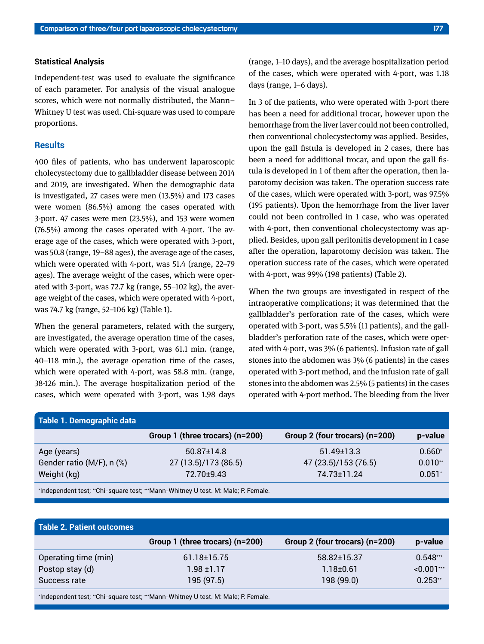#### **Statistical Analysis**

Independent-test was used to evaluate the significance of each parameter. For analysis of the visual analogue scores, which were not normally distributed, the Mann– Whitney U test was used. Chi-square was used to compare proportions.

### **Results**

400 files of patients, who has underwent laparoscopic cholecystectomy due to gallbladder disease between 2014 and 2019, are investigated. When the demographic data is investigated, 27 cases were men (13.5%) and 173 cases were women (86.5%) among the cases operated with 3-port. 47 cases were men (23.5%), and 153 were women (76.5%) among the cases operated with 4-port. The average age of the cases, which were operated with 3-port, was 50.8 (range, 19–88 ages), the average age of the cases, which were operated with 4-port, was 51.4 (range, 22–79 ages). The average weight of the cases, which were operated with 3-port, was 72.7 kg (range, 55–102 kg), the average weight of the cases, which were operated with 4-port, was 74.7 kg (range, 52–106 kg) (Table 1).

When the general parameters, related with the surgery, are investigated, the average operation time of the cases, which were operated with 3-port, was 61.1 min. (range, 40–118 min.), the average operation time of the cases, which were operated with 4-port, was 58.8 min. (range, 38-126 min.). The average hospitalization period of the cases, which were operated with 3-port, was 1.98 days (range, 1–10 days), and the average hospitalization period of the cases, which were operated with 4-port, was 1.18 days (range, 1–6 days).

In 3 of the patients, who were operated with 3-port there has been a need for additional trocar, however upon the hemorrhage from the liver laver could not been controlled, then conventional cholecystectomy was applied. Besides, upon the gall fistula is developed in 2 cases, there has been a need for additional trocar, and upon the gall fistula is developed in 1 of them after the operation, then laparotomy decision was taken. The operation success rate of the cases, which were operated with 3-port, was 97.5% (195 patients). Upon the hemorrhage from the liver laver could not been controlled in 1 case, who was operated with 4-port, then conventional cholecystectomy was applied. Besides, upon gall peritonitis development in 1 case after the operation, laparotomy decision was taken. The operation success rate of the cases, which were operated with 4-port, was 99% (198 patients) (Table 2).

When the two groups are investigated in respect of the intraoperative complications; it was determined that the gallbladder's perforation rate of the cases, which were operated with 3-port, was 5.5% (11 patients), and the gallbladder's perforation rate of the cases, which were operated with 4-port, was 3% (6 patients). Infusion rate of gall stones into the abdomen was 3% (6 patients) in the cases operated with 3-port method, and the infusion rate of gall stones into the abdomen was 2.5% (5 patients) in the cases operated with 4-port method. The bleeding from the liver

| Table 1. Demographic data |                                                                                 |                                |           |
|---------------------------|---------------------------------------------------------------------------------|--------------------------------|-----------|
|                           | Group 1 (three trocars) (n=200)                                                 | Group 2 (four trocars) (n=200) | p-value   |
| Age (years)               | $50.87 \pm 14.8$                                                                | $51.49 \pm 13.3$               | $0.660*$  |
| Gender ratio (M/F), n (%) | 27 (13.5)/173 (86.5)                                                            | 47 (23.5)/153 (76.5)           | $0.010**$ |
| Weight (kg)               | 72.70±9.43                                                                      | 74.73±11.24                    | $0.051*$  |
|                           | 'Independent test, "Chi-square test, "'Mann-Whitney U test. M: Male, F. Female. |                                |           |

| Group 1 (three trocars) (n=200) | Group 2 (four trocars) (n=200) | p-value       |
|---------------------------------|--------------------------------|---------------|
| $61.18 \pm 15.75$               | 58.82±15.37                    | $0.548***$    |
| $1.98 \pm 1.17$                 | $1.18 + 0.61$                  | $< 0.001$ *** |
| 195 (97.5)                      | 198 (99.0)                     | $0.253**$     |
|                                 |                                |               |

\* Independent test; \*\*Chi-square test; \*\*\*Mann-Whitney U test. M: Male; F: Female.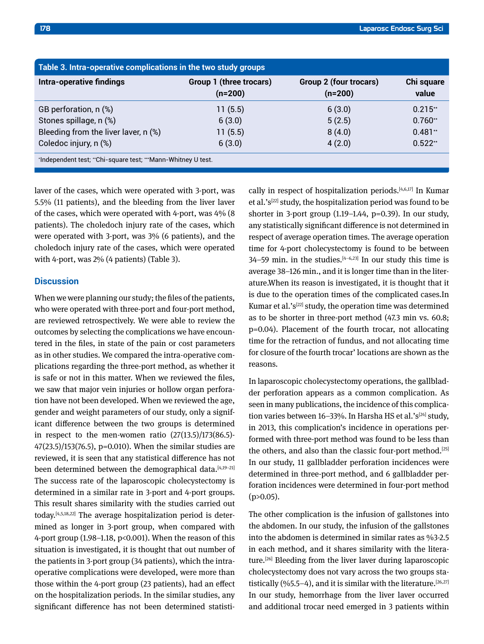| Table 3. Intra-operative complications in the two study groups |                                      |                                            |                     |  |  |
|----------------------------------------------------------------|--------------------------------------|--------------------------------------------|---------------------|--|--|
| <b>Intra-operative findings</b>                                | Group 1 (three trocars)<br>$(n=200)$ | <b>Group 2 (four trocars)</b><br>$(n=200)$ | Chi square<br>value |  |  |
| GB perforation, n (%)                                          | 11(5.5)                              | 6(3.0)                                     | $0.215**$           |  |  |
| Stones spillage, n (%)                                         | 6(3.0)                               | 5(2.5)                                     | $0.760**$           |  |  |
| Bleeding from the liver laver, n (%)                           | 11(5.5)                              | 8(4.0)                                     | $0.481**$           |  |  |
| Coledoc injury, n (%)                                          | 6(3.0)                               | 4(2.0)                                     | $0.522**$           |  |  |
| *Independent test, **Chi-square test, ***Mann-Whitney U test.  |                                      |                                            |                     |  |  |

laver of the cases, which were operated with 3-port, was 5.5% (11 patients), and the bleeding from the liver laver of the cases, which were operated with 4-port, was 4% (8 patients). The choledoch injury rate of the cases, which were operated with 3-port, was 3% (6 patients), and the choledoch injury rate of the cases, which were operated with 4-port, was 2% (4 patients) (Table 3).

## **Discussion**

When we were planning our study; the files of the patients, who were operated with three-port and four-port method, are reviewed retrospectively. We were able to review the outcomes by selecting the complications we have encountered in the files, in state of the pain or cost parameters as in other studies. We compared the intra-operative complications regarding the three-port method, as whether it is safe or not in this matter. When we reviewed the files, we saw that major vein injuries or hollow organ perforation have not been developed. When we reviewed the age, gender and weight parameters of our study, only a significant difference between the two groups is determined in respect to the men-women ratio  $(27(13.5)/173(86.5)-$ 47(23.5)/153(76.5), p=0.010). When the similar studies are reviewed, it is seen that any statistical difference has not been determined between the demographical data.<sup>[4,19-21]</sup> The success rate of the laparoscopic cholecystectomy is determined in a similar rate in 3-port and 4-port groups. This result shares similarity with the studies carried out today.[4,5,18,22] The average hospitalization period is determined as longer in 3-port group, when compared with 4-port group (1.98–1.18, p<0.001). When the reason of this situation is investigated, it is thought that out number of the patients in 3-port group (34 patients), which the intraoperative complications were developed, were more than those within the 4-port group (23 patients), had an effect on the hospitalization periods. In the similar studies, any significant difference has not been determined statistically in respect of hospitalization periods.[4,6,17] In Kumar et al.' $s^{[22]}$  study, the hospitalization period was found to be shorter in 3-port group (1.19–1.44, p=0.39). In our study, any statistically significant difference is not determined in respect of average operation times. The average operation time for 4-port cholecystectomy is found to be between 34–59 min. in the studies. $[4-6,23]$  In our study this time is average 38–126 min., and it is longer time than in the literature.When its reason is investigated, it is thought that it is due to the operation times of the complicated cases.In Kumar et al.'s<sup>[22]</sup> study, the operation time was determined as to be shorter in three-port method (47.3 min vs. 60.8; p=0.04). Placement of the fourth trocar, not allocating time for the retraction of fundus, and not allocating time for closure of the fourth trocar' locations are shown as the reasons.

In laparoscopic cholecystectomy operations, the gallbladder perforation appears as a common complication. As seen in many publications, the incidence of this complication varies between  $16-33\%$ . In Harsha HS et al.'s<sup>[24]</sup> study, in 2013, this complication's incidence in operations performed with three-port method was found to be less than the others, and also than the classic four-port method.<sup>[25]</sup> In our study, 11 gallbladder perforation incidences were determined in three-port method, and 6 gallbladder perforation incidences were determined in four-port method  $(p>0.05)$ .

The other complication is the infusion of gallstones into the abdomen. In our study, the infusion of the gallstones into the abdomen is determined in similar rates as %3-2.5 in each method, and it shares similarity with the literature.[26] Bleeding from the liver laver during laparoscopic cholecystectomy does not vary across the two groups statistically  $(%5.5-4)$ , and it is similar with the literature.<sup>[26,27]</sup> In our study, hemorrhage from the liver laver occurred and additional trocar need emerged in 3 patients within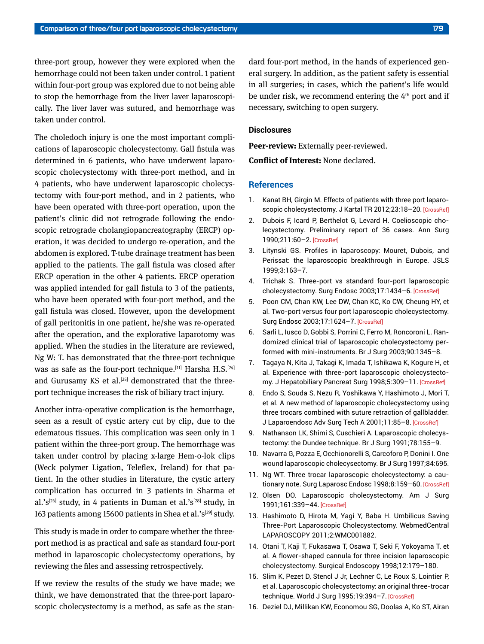three-port group, however they were explored when the hemorrhage could not been taken under control. 1 patient within four-port group was explored due to not being able to stop the hemorrhage from the liver laver laparoscopically. The liver laver was sutured, and hemorrhage was taken under control.

The choledoch injury is one the most important complications of laparoscopic cholecystectomy. Gall fistula was determined in 6 patients, who have underwent laparoscopic cholecystectomy with three-port method, and in 4 patients, who have underwent laparoscopic cholecystectomy with four-port method, and in 2 patients, who have been operated with three-port operation, upon the patient's clinic did not retrograde following the endoscopic retrograde cholangiopancreatography (ERCP) operation, it was decided to undergo re-operation, and the abdomen is explored. T-tube drainage treatment has been applied to the patients. The gall fistula was closed after ERCP operation in the other 4 patients. ERCP operation was applied intended for gall fistula to 3 of the patients, who have been operated with four-port method, and the gall fistula was closed. However, upon the development of gall peritonitis in one patient, he/she was re-operated after the operation, and the explorative laparotomy was applied. When the studies in the literature are reviewed, Ng W: T. has demonstrated that the three-port technique was as safe as the four-port technique.[11] Harsha H.S.[24] and Gurusamy KS et al.<sup>[25]</sup> demonstrated that the threeport technique increases the risk of biliary tract injury.

Another intra-operative complication is the hemorrhage, seen as a result of cystic artery cut by clip, due to the edematous tissues. This complication was seen only in 1 patient within the three-port group. The hemorrhage was taken under control by placing x-large Hem-o-lok clips (Weck polymer Ligation, Teleflex, Ireland) for that patient. In the other studies in literature, the cystic artery complication has occurred in 3 patients in Sharma et al.'s<sup>[26]</sup> study, in 4 patients in Duman et al.'s<sup>[28]</sup> study, in 163 patients among 15600 patients in Shea et al.'s<sup>[29]</sup> study.

This study is made in order to compare whether the threeport method is as practical and safe as standard four-port method in laparoscopic cholecystectomy operations, by reviewing the files and assessing retrospectively.

If we review the results of the study we have made; we think, we have demonstrated that the three-port laparoscopic cholecystectomy is a method, as safe as the standard four-port method, in the hands of experienced general surgery. In addition, as the patient safety is essential in all surgeries; in cases, which the patient's life would be under risk, we recommend entering the 4<sup>th</sup> port and if necessary, switching to open surgery.

## **Disclosures**

**Peer-review:** Externally peer-reviewed.

**Conflict of Interest:** None declared.

#### **References**

- 1. Kanat BH, Girgin M. Effects of patients with three port laparo-scopic cholecystectomy. J Kartal TR 2012;23:18-2[0. \[CrossRef\]](https://doi.org/10.5505/jkartaltr.2012.24392)
- 2. Dubois F, Icard P, Berthelot G, Levard H. Coelioscopic cholecystectomy. Preliminary report of 36 cases. Ann Surg 1990;211:60–2[. \[CrossRef\]](https://doi.org/10.1097/00000658-199001000-00010)
- 3. Litynski GS. Profiles in laparoscopy: Mouret, Dubois, and Perissat: the laparoscopic breakthrough in Europe. JSLS 1999;3:163–7.
- 4. Trichak S. Three-port vs standard four-port laparoscopic cholecystectomy. Surg Endosc 2003;17:1434–[6. \[CrossRef\]](https://doi.org/10.1007/s00464-002-8713-1)
- 5. Poon CM, Chan KW, Lee DW, Chan KC, Ko CW, Cheung HY, et al. Two-port versus four port laparoscopic cholecystectomy. Surg Endosc 2003;17:1624–7[. \[CrossRef\]](https://doi.org/10.1007/s00464-002-8718-9)
- 6. Sarli L, Iusco D, Gobbi S, Porrini C, Ferro M, Roncoroni L. Randomized clinical trial of laparoscopic cholecystectomy performed with mini-instruments. [Br J Surg 2003;90:1345–8.](https://doi.org/10.1002/bjs.4315)
- 7. Tagaya N, Kita J, Takagi K, Imada T, Ishikawa K, Kogure H, et al. Experience with three-port laparoscopic cholecystectomy. J Hepatobiliary Pancreat Surg 1998;5:309–1[1. \[CrossRef\]](https://doi.org/10.1007/s005340050051)
- 8. Endo S, Souda S, Nezu R, Yoshikawa Y, Hashimoto J, Mori T, et al. A new method of laparoscopic cholecystectomy using three trocars combined with suture retraction of gallbladder. J Laparoendosc Adv Surg Tech A 2001;11:85–[8. \[CrossRef\]](https://doi.org/10.1089/109264201750162310)
- 9. Nathanson LK, Shimi S, Cuschieri A. Laparoscopic cholecystectomy: the Dundee technique[. Br J Surg 1991;78:155–9.](https://doi.org/10.1002/bjs.1800780208)
- 10. Navarra G, Pozza E, Occhionorelli S, Carcoforo P, Donini I. One wound laparoscopic cholecysectomy. [Br J Surg 1997;84:695.](https://doi.org/10.1046/j.1365-2168.1997.02586.x)
- 11. Ng WT. Three trocar laparoscopic cholecystectomy: a cau-tionary note. Surg Laparosc Endosc 1998;8:159-60. [\[CrossRef\]](https://doi.org/10.1097/00019509-199804000-00018)
- 12. Olsen DO. Laparoscopic cholecystectomy. Am J Surg 1991;161:339–44[. \[CrossRef\]](https://doi.org/10.1016/0002-9610(91)90592-2)
- 13. Hashimoto D, Hirota M, Yagi Y, Baba H. Umbilicus Saving Three-Port Laparoscopic Cholecystectomy. WebmedCentral LAPAROSCOPY 2011;2:WMC001882.
- 14. Otani T, Kaji T, Fukasawa T, Osawa T, Seki F, Yokoyama T, et al. A flower-shaped cannula for three incision laparoscopic cholecystectomy. [Surgical Endoscopy 1998;12:179–180.](https://doi.org/10.1007/s004649900625)
- 15. Slim K, Pezet D, Stencl J Jr, Lechner C, Le Roux S, Lointier P, et al. Laparoscopic cholecystectomy: an original three-trocar technique. World J Surg 1995;19:394-7[. \[CrossRef\]](https://doi.org/10.1007/BF00299168)
- 16. Deziel DJ, Millikan KW, Economou SG, Doolas A, Ko ST, Airan